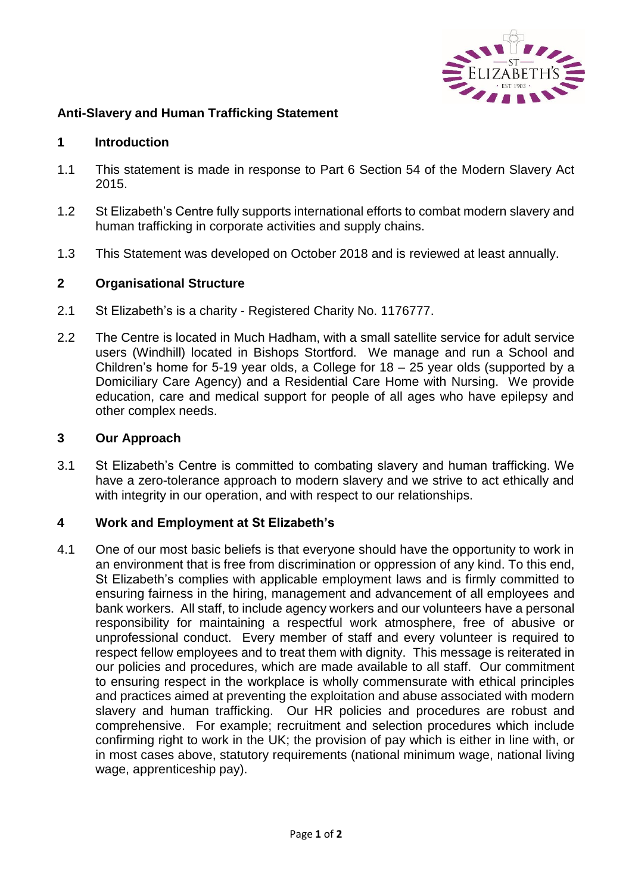

## **Anti-Slavery and Human Trafficking Statement**

### **1 Introduction**

- 1.1 This statement is made in response to Part 6 Section 54 of the Modern Slavery Act 2015.
- 1.2 St Elizabeth's Centre fully supports international efforts to combat modern slavery and human trafficking in corporate activities and supply chains.
- 1.3 This Statement was developed on October 2018 and is reviewed at least annually.

### **2 Organisational Structure**

- 2.1 St Elizabeth's is a charity Registered Charity No. 1176777.
- 2.2 The Centre is located in Much Hadham, with a small satellite service for adult service users (Windhill) located in Bishops Stortford. We manage and run a School and Children's home for 5-19 year olds, a College for 18 – 25 year olds (supported by a Domiciliary Care Agency) and a Residential Care Home with Nursing. We provide education, care and medical support for people of all ages who have epilepsy and other complex needs.

#### **3 Our Approach**

3.1 St Elizabeth's Centre is committed to combating slavery and human trafficking. We have a zero-tolerance approach to modern slavery and we strive to act ethically and with integrity in our operation, and with respect to our relationships.

#### **4 Work and Employment at St Elizabeth's**

4.1 One of our most basic beliefs is that everyone should have the opportunity to work in an environment that is free from discrimination or oppression of any kind. To this end, St Elizabeth's complies with applicable employment laws and is firmly committed to ensuring fairness in the hiring, management and advancement of all employees and bank workers. All staff, to include agency workers and our volunteers have a personal responsibility for maintaining a respectful work atmosphere, free of abusive or unprofessional conduct. Every member of staff and every volunteer is required to respect fellow employees and to treat them with dignity. This message is reiterated in our policies and procedures, which are made available to all staff. Our commitment to ensuring respect in the workplace is wholly commensurate with ethical principles and practices aimed at preventing the exploitation and abuse associated with modern slavery and human trafficking. Our HR policies and procedures are robust and comprehensive. For example; recruitment and selection procedures which include confirming right to work in the UK; the provision of pay which is either in line with, or in most cases above, statutory requirements (national minimum wage, national living wage, apprenticeship pay).